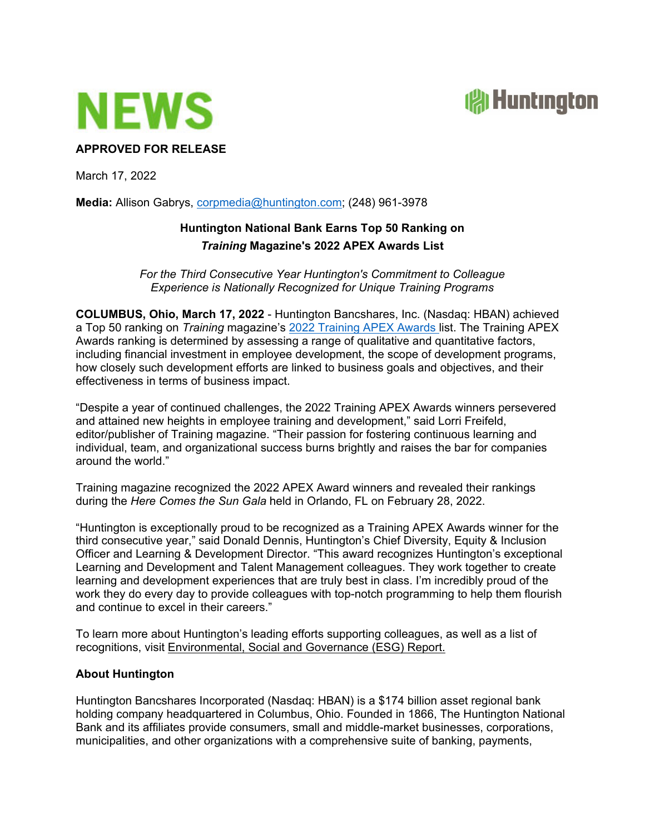



## **APPROVED FOR RELEASE**

March 17, 2022

**Media:** Allison Gabrys, corpmedia@huntington.com; (248) 961-3978

## **Huntington National Bank Earns Top 50 Ranking on**  *Training* **Magazine's 2022 APEX Awards List**

*For the Third Consecutive Year Huntington's Commitment to Colleague Experience is Nationally Recognized for Unique Training Programs*

**COLUMBUS, Ohio, March 17, 2022** - Huntington Bancshares, Inc. (Nasdaq: HBAN) achieved a Top 50 ranking on *Training* magazine's 2022 Training APEX Awards list. The Training APEX Awards ranking is determined by assessing a range of qualitative and quantitative factors, including financial investment in employee development, the scope of development programs, how closely such development efforts are linked to business goals and objectives, and their effectiveness in terms of business impact.

"Despite a year of continued challenges, the 2022 Training APEX Awards winners persevered and attained new heights in employee training and development," said Lorri Freifeld, editor/publisher of Training magazine. "Their passion for fostering continuous learning and individual, team, and organizational success burns brightly and raises the bar for companies around the world."

Training magazine recognized the 2022 APEX Award winners and revealed their rankings during the *Here Comes the Sun Gala* held in Orlando, FL on February 28, 2022.

"Huntington is exceptionally proud to be recognized as a Training APEX Awards winner for the third consecutive year," said Donald Dennis, Huntington's Chief Diversity, Equity & Inclusion Officer and Learning & Development Director. "This award recognizes Huntington's exceptional Learning and Development and Talent Management colleagues. They work together to create learning and development experiences that are truly best in class. I'm incredibly proud of the work they do every day to provide colleagues with top-notch programming to help them flourish and continue to excel in their careers."

To learn more about Huntington's leading efforts supporting colleagues, as well as a list of recognitions, visit Environmental, Social and Governance (ESG) Report.

## **About Huntington**

Huntington Bancshares Incorporated (Nasdaq: HBAN) is a \$174 billion asset regional bank holding company headquartered in Columbus, Ohio. Founded in 1866, The Huntington National Bank and its affiliates provide consumers, small and middle-market businesses, corporations, municipalities, and other organizations with a comprehensive suite of banking, payments,